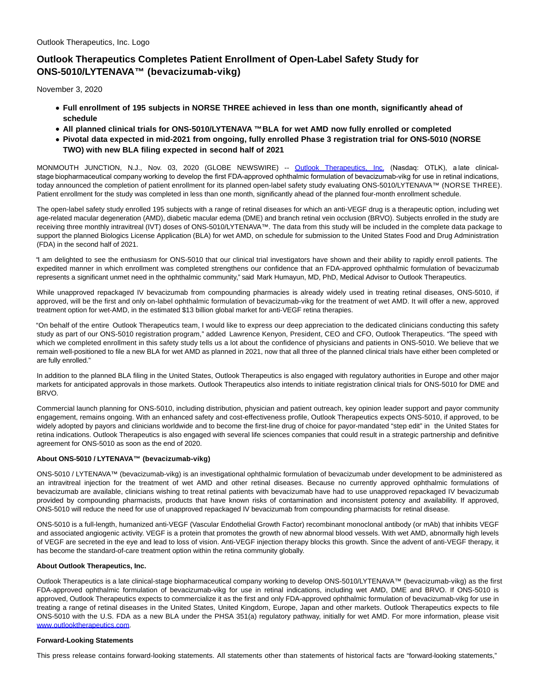# **Outlook Therapeutics Completes Patient Enrollment of Open-Label Safety Study for ONS-5010/LYTENAVA™ (bevacizumab-vikg)**

November 3, 2020

- **Full enrollment of 195 subjects in NORSE THREE achieved in less than one month, significantly ahead of schedule**
- **All planned clinical trials for ONS-5010/LYTENAVA ™ BLA for wet AMD now fully enrolled or completed**
- **Pivotal data expected in mid-2021 from ongoing, fully enrolled Phase 3 registration trial for ONS-5010 (NORSE TWO) with new BLA filing expected in second half of 2021**

MONMOUTH JUNCTION, N.J., Nov. 03, 2020 (GLOBE NEWSWIRE) -- [Outlook Therapeutics, Inc.](https://www.globenewswire.com/Tracker?data=zRaR97wUeak_BstbPf0fVZaSDfgMPfBrWZGsfZ6kSJ9z_Qpoy88w5KCte09W7MxlfIFBvTT31QhXh2tBnktj9GC1PSjYeHWwdD9Pocn8EEk=) (Nasdaq: OTLK), a late clinicalstage biopharmaceutical company working to develop the first FDA-approved ophthalmic formulation of bevacizumab-vikg for use in retinal indications, today announced the completion of patient enrollment for its planned open-label safety study evaluating ONS-5010/LYTENAVA™ (NORSE THREE). Patient enrollment for the study was completed in less than one month, significantly ahead of the planned four-month enrollment schedule.

The open-label safety study enrolled 195 subjects with a range of retinal diseases for which an anti-VEGF drug is a therapeutic option, including wet age-related macular degeneration (AMD), diabetic macular edema (DME) and branch retinal vein occlusion (BRVO). Subjects enrolled in the study are receiving three monthly intravitreal (IVT) doses of ONS-5010/LYTENAVA™. The data from this study will be included in the complete data package to support the planned Biologics License Application (BLA) for wet AMD, on schedule for submission to the United States Food and Drug Administration (FDA) in the second half of 2021.

"I am delighted to see the enthusiasm for ONS-5010 that our clinical trial investigators have shown and their ability to rapidly enroll patients. The expedited manner in which enrollment was completed strengthens our confidence that an FDA-approved ophthalmic formulation of bevacizumab represents a significant unmet need in the ophthalmic community," said Mark Humayun, MD, PhD, Medical Advisor to Outlook Therapeutics.

While unapproved repackaged IV bevacizumab from compounding pharmacies is already widely used in treating retinal diseases, ONS-5010, if approved, will be the first and only on-label ophthalmic formulation of bevacizumab-vikg for the treatment of wet AMD. It will offer a new, approved treatment option for wet-AMD, in the estimated \$13 billion global market for anti-VEGF retina therapies.

"On behalf of the entire Outlook Therapeutics team, I would like to express our deep appreciation to the dedicated clinicians conducting this safety study as part of our ONS-5010 registration program," added Lawrence Kenyon, President, CEO and CFO, Outlook Therapeutics. "The speed with which we completed enrollment in this safety study tells us a lot about the confidence of physicians and patients in ONS-5010. We believe that we remain well-positioned to file a new BLA for wet AMD as planned in 2021, now that all three of the planned clinical trials have either been completed or are fully enrolled."

In addition to the planned BLA filing in the United States, Outlook Therapeutics is also engaged with regulatory authorities in Europe and other major markets for anticipated approvals in those markets. Outlook Therapeutics also intends to initiate registration clinical trials for ONS-5010 for DME and BRVO.

Commercial launch planning for ONS-5010, including distribution, physician and patient outreach, key opinion leader support and payor community engagement, remains ongoing. With an enhanced safety and cost-effectiveness profile, Outlook Therapeutics expects ONS-5010, if approved, to be widely adopted by payors and clinicians worldwide and to become the first-line drug of choice for payor-mandated "step edit" in the United States for retina indications. Outlook Therapeutics is also engaged with several life sciences companies that could result in a strategic partnership and definitive agreement for ONS-5010 as soon as the end of 2020.

## **About ONS-5010 / LYTENAVA™ (bevacizumab-vikg)**

ONS-5010 / LYTENAVA™ (bevacizumab-vikg) is an investigational ophthalmic formulation of bevacizumab under development to be administered as an intravitreal injection for the treatment of wet AMD and other retinal diseases. Because no currently approved ophthalmic formulations of bevacizumab are available, clinicians wishing to treat retinal patients with bevacizumab have had to use unapproved repackaged IV bevacizumab provided by compounding pharmacists, products that have known risks of contamination and inconsistent potency and availability. If approved, ONS-5010 will reduce the need for use of unapproved repackaged IV bevacizumab from compounding pharmacists for retinal disease.

ONS-5010 is a full-length, humanized anti-VEGF (Vascular Endothelial Growth Factor) recombinant monoclonal antibody (or mAb) that inhibits VEGF and associated angiogenic activity. VEGF is a protein that promotes the growth of new abnormal blood vessels. With wet AMD, abnormally high levels of VEGF are secreted in the eye and lead to loss of vision. Anti-VEGF injection therapy blocks this growth. Since the advent of anti-VEGF therapy, it has become the standard-of-care treatment option within the retina community globally.

#### **About Outlook Therapeutics, Inc.**

Outlook Therapeutics is a late clinical-stage biopharmaceutical company working to develop ONS-5010/LYTENAVA™ (bevacizumab-vikg) as the first FDA-approved ophthalmic formulation of bevacizumab-vikg for use in retinal indications, including wet AMD, DME and BRVO. If ONS-5010 is approved, Outlook Therapeutics expects to commercialize it as the first and only FDA-approved ophthalmic formulation of bevacizumab-vikg for use in treating a range of retinal diseases in the United States, United Kingdom, Europe, Japan and other markets. Outlook Therapeutics expects to file ONS-5010 with the U.S. FDA as a new BLA under the PHSA 351(a) regulatory pathway, initially for wet AMD. For more information, please visit [www.outlooktherapeutics.com.](http://www.outlooktherapeutics.com/)

#### **Forward-Looking Statements**

This press release contains forward-looking statements. All statements other than statements of historical facts are "forward-looking statements,"